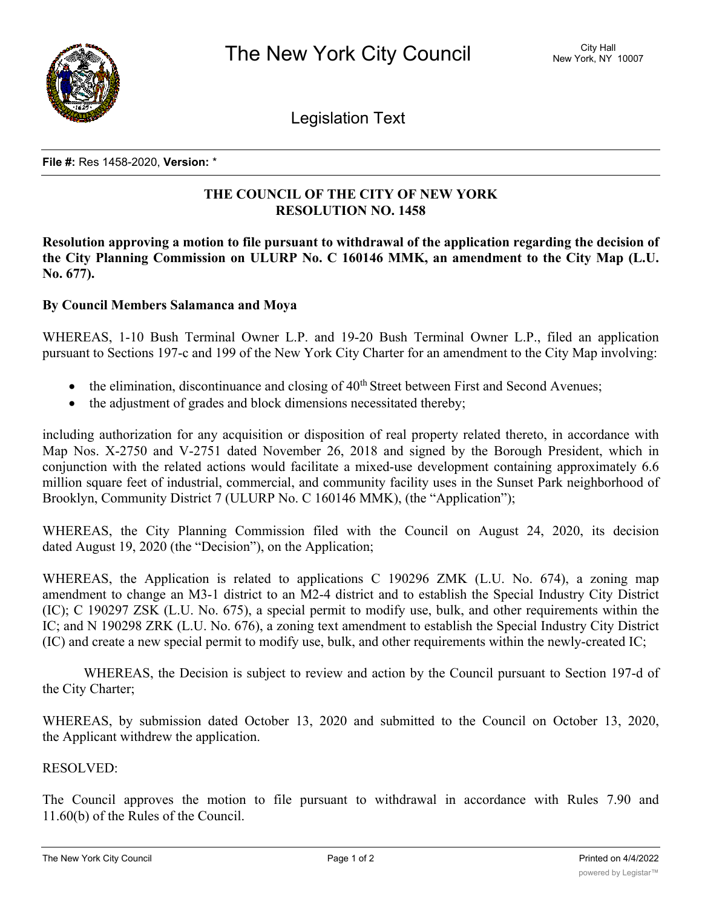

Legislation Text

#### **File #:** Res 1458-2020, **Version:** \*

# **THE COUNCIL OF THE CITY OF NEW YORK RESOLUTION NO. 1458**

**Resolution approving a motion to file pursuant to withdrawal of the application regarding the decision of the City Planning Commission on ULURP No. C 160146 MMK, an amendment to the City Map (L.U. No. 677).**

## **By Council Members Salamanca and Moya**

WHEREAS, 1-10 Bush Terminal Owner L.P. and 19-20 Bush Terminal Owner L.P., filed an application pursuant to Sections 197-c and 199 of the New York City Charter for an amendment to the City Map involving:

- $\bullet$  the elimination, discontinuance and closing of  $40<sup>th</sup>$  Street between First and Second Avenues;
- the adjustment of grades and block dimensions necessitated thereby;

including authorization for any acquisition or disposition of real property related thereto, in accordance with Map Nos. X-2750 and V-2751 dated November 26, 2018 and signed by the Borough President, which in conjunction with the related actions would facilitate a mixed-use development containing approximately 6.6 million square feet of industrial, commercial, and community facility uses in the Sunset Park neighborhood of Brooklyn, Community District 7 (ULURP No. C 160146 MMK), (the "Application");

WHEREAS, the City Planning Commission filed with the Council on August 24, 2020, its decision dated August 19, 2020 (the "Decision"), on the Application;

WHEREAS, the Application is related to applications C 190296 ZMK (L.U. No. 674), a zoning map amendment to change an M3-1 district to an M2-4 district and to establish the Special Industry City District (IC); C 190297 ZSK (L.U. No. 675), a special permit to modify use, bulk, and other requirements within the IC; and N 190298 ZRK (L.U. No. 676), a zoning text amendment to establish the Special Industry City District (IC) and create a new special permit to modify use, bulk, and other requirements within the newly-created IC;

WHEREAS, the Decision is subject to review and action by the Council pursuant to Section 197-d of the City Charter;

WHEREAS, by submission dated October 13, 2020 and submitted to the Council on October 13, 2020, the Applicant withdrew the application.

## RESOLVED:

The Council approves the motion to file pursuant to withdrawal in accordance with Rules 7.90 and 11.60(b) of the Rules of the Council.